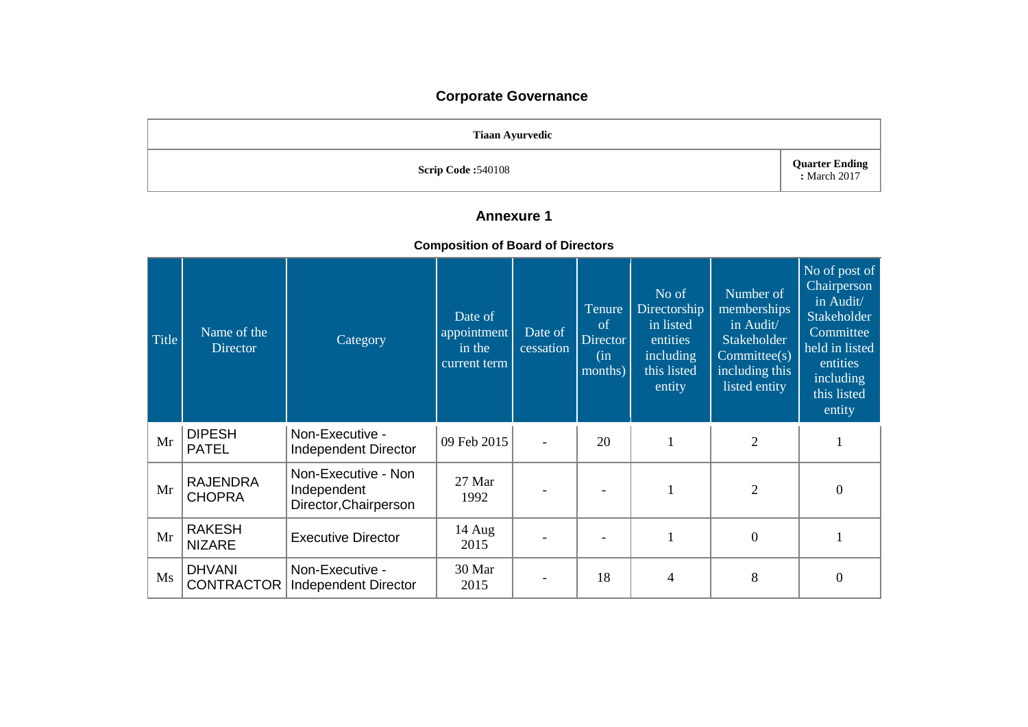# **Corporate Governance**

| <b>Tiaan Ayurvedic</b>    |                                       |
|---------------------------|---------------------------------------|
| <b>Scrip Code: 540108</b> | <b>Quarter Ending</b><br>: March 2017 |

## **Annexure 1**

### **Composition of Board of Directors**

| Title | Name of the<br><b>Director</b>     | Category                                                    | Date of<br>appointment<br>in the<br>current term | Date of<br>cessation | Tenure<br>of<br>Director<br>(in<br>months) | No of<br>Directorship<br>in listed<br>entities<br>including<br>this listed<br>entity | Number of<br>memberships<br>in Audit/<br><b>Stakeholder</b><br>Committee(s)<br>including this<br>listed entity | No of post of<br>Chairperson<br>in Audit/<br>Stakeholder<br>Committee<br>held in listed<br>entities<br>including<br>this listed<br>entity |
|-------|------------------------------------|-------------------------------------------------------------|--------------------------------------------------|----------------------|--------------------------------------------|--------------------------------------------------------------------------------------|----------------------------------------------------------------------------------------------------------------|-------------------------------------------------------------------------------------------------------------------------------------------|
| Mr    | <b>DIPESH</b><br><b>PATEL</b>      | Non-Executive -<br>Independent Director                     | 09 Feb 2015                                      |                      | 20                                         | $\mathbf{1}$                                                                         | $\overline{2}$                                                                                                 |                                                                                                                                           |
| Mr    | <b>RAJENDRA</b><br><b>CHOPRA</b>   | Non-Executive - Non<br>Independent<br>Director, Chairperson | 27 Mar<br>1992                                   |                      |                                            |                                                                                      | $\overline{2}$                                                                                                 | $\boldsymbol{0}$                                                                                                                          |
| Mr    | <b>RAKESH</b><br><b>NIZARE</b>     | <b>Executive Director</b>                                   | 14 Aug<br>2015                                   |                      |                                            | 1                                                                                    | $\overline{0}$                                                                                                 |                                                                                                                                           |
| Ms    | <b>DHVANI</b><br><b>CONTRACTOR</b> | Non-Executive -<br>Independent Director                     | 30 Mar<br>2015                                   |                      | 18                                         | 4                                                                                    | 8                                                                                                              | $\overline{0}$                                                                                                                            |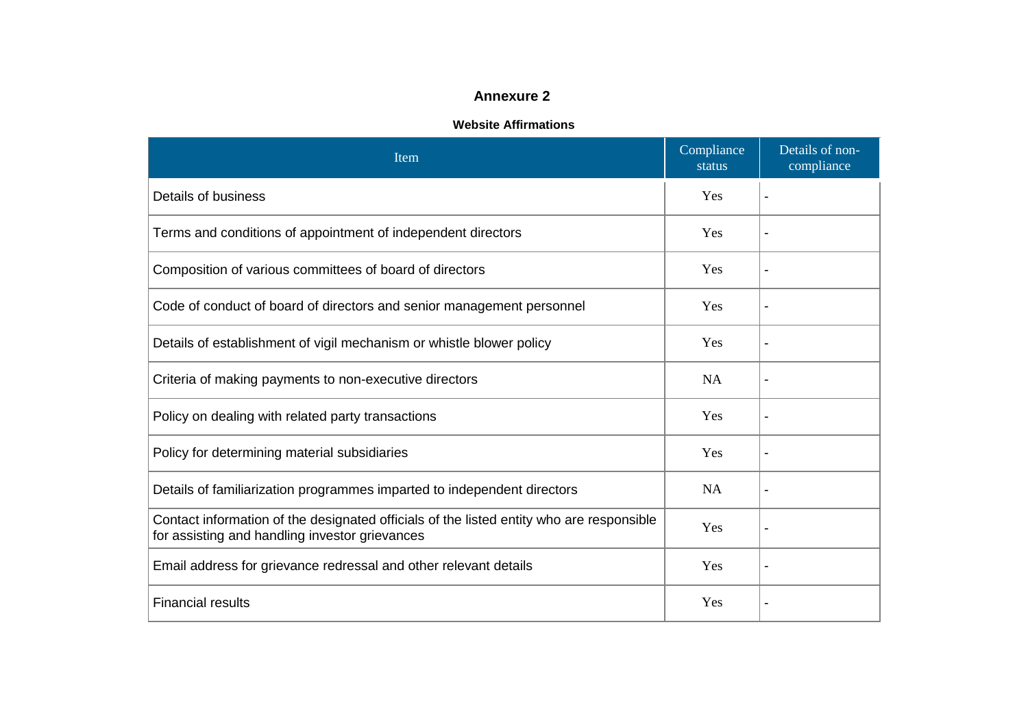## **Annexure 2**

#### **Website Affirmations**

| Item                                                                                                                                       | Compliance<br>status | Details of non-<br>compliance |
|--------------------------------------------------------------------------------------------------------------------------------------------|----------------------|-------------------------------|
| Details of business                                                                                                                        | Yes                  | ٠                             |
| Terms and conditions of appointment of independent directors                                                                               | Yes                  |                               |
| Composition of various committees of board of directors                                                                                    | Yes                  |                               |
| Code of conduct of board of directors and senior management personnel                                                                      | Yes                  | ٠                             |
| Details of establishment of vigil mechanism or whistle blower policy                                                                       | Yes                  |                               |
| Criteria of making payments to non-executive directors                                                                                     | <b>NA</b>            |                               |
| Policy on dealing with related party transactions                                                                                          | Yes                  | ٠                             |
| Policy for determining material subsidiaries                                                                                               | Yes                  |                               |
| Details of familiarization programmes imparted to independent directors                                                                    | <b>NA</b>            |                               |
| Contact information of the designated officials of the listed entity who are responsible<br>for assisting and handling investor grievances | Yes                  | ٠                             |
| Email address for grievance redressal and other relevant details                                                                           | Yes                  | $\blacksquare$                |
| <b>Financial results</b>                                                                                                                   | Yes                  |                               |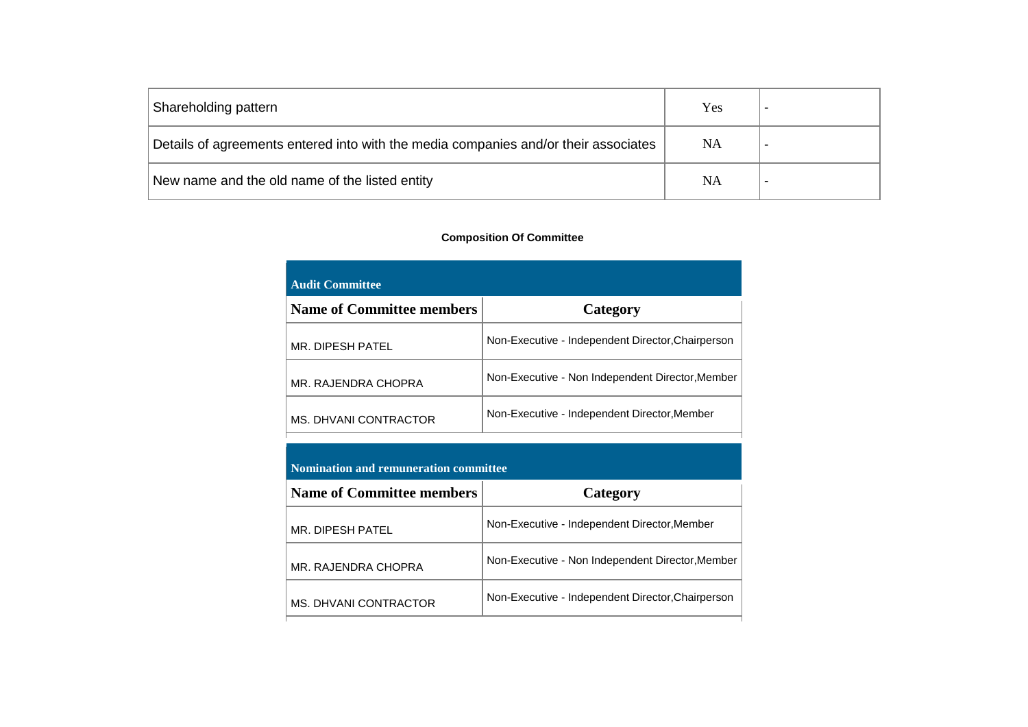| Shareholding pattern                                                                | Yes       |  |
|-------------------------------------------------------------------------------------|-----------|--|
| Details of agreements entered into with the media companies and/or their associates | NA        |  |
| New name and the old name of the listed entity                                      | <b>NA</b> |  |

#### **Composition Of Committee**

| <b>Audit Committee</b>           |                                                   |
|----------------------------------|---------------------------------------------------|
| <b>Name of Committee members</b> | Category                                          |
| MR. DIPESH PATEL                 | Non-Executive - Independent Director, Chairperson |
| MR. RAJENDRA CHOPRA              | Non-Executive - Non Independent Director, Member  |
| MS. DHVANI CONTRACTOR            | Non-Executive - Independent Director, Member      |

### **Nomination and remuneration committee**

| <b>Name of Committee members</b> | Category                                          |
|----------------------------------|---------------------------------------------------|
| MR. DIPESH PATEL                 | Non-Executive - Independent Director, Member      |
| MR. RAJENDRA CHOPRA              | Non-Executive - Non Independent Director, Member  |
| MS. DHVANI CONTRACTOR            | Non-Executive - Independent Director, Chairperson |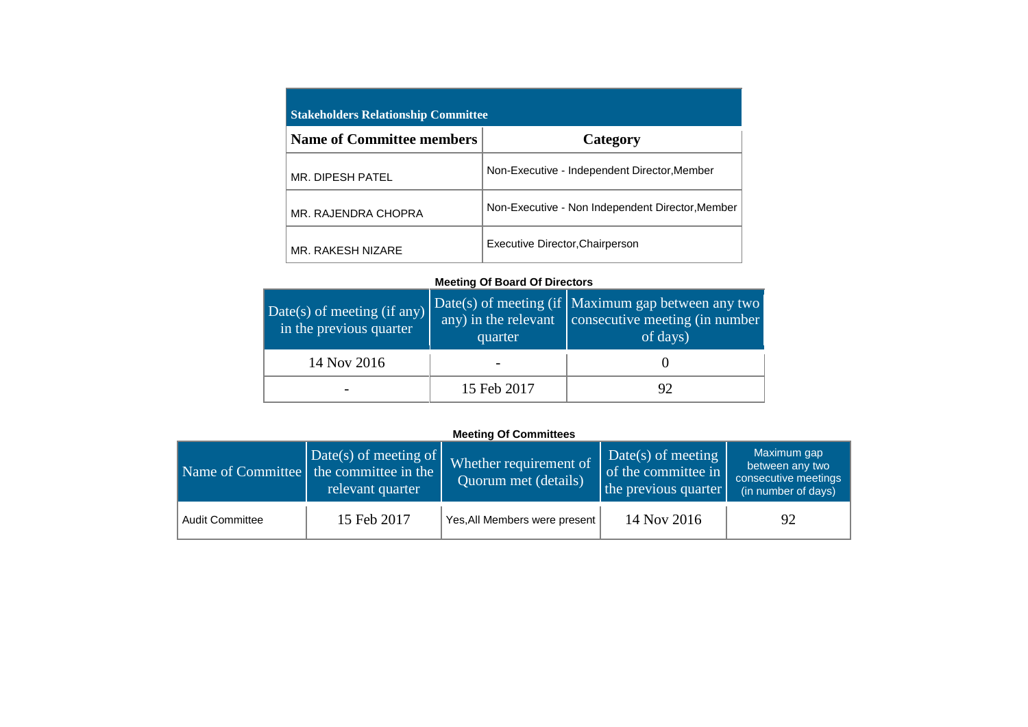| <b>Stakeholders Relationship Committee</b> |                                                  |  |  |  |
|--------------------------------------------|--------------------------------------------------|--|--|--|
| <b>Name of Committee members</b>           | Category                                         |  |  |  |
| MR. DIPESH PATEL                           | Non-Executive - Independent Director, Member     |  |  |  |
| MR. RAJENDRA CHOPRA                        | Non-Executive - Non Independent Director, Member |  |  |  |
| MR. RAKESH NIZARE                          | Executive Director, Chairperson                  |  |  |  |

### **Meeting Of Board Of Directors**

| Date(s) of meeting (if any)<br>in the previous quarter | quarter     | Date(s) of meeting (if $\overline{\text{Maximum}}$ gap between any two<br>any) in the relevant $\cos$ consecutive meeting (in number<br>of days) |  |
|--------------------------------------------------------|-------------|--------------------------------------------------------------------------------------------------------------------------------------------------|--|
| 14 Nov 2016                                            |             |                                                                                                                                                  |  |
|                                                        | 15 Feb 2017 |                                                                                                                                                  |  |

### **Meeting Of Committees**

|                        | $\vert$ Date(s) of meeting of $\vert$<br>Name of Committee the committee in the<br>relevant quarter | Whether requirement of<br>Quorum met (details) | $\Delta$ Date(s) of meeting<br>of the committee in<br>the previous quarter | Maximum gap<br>between any two<br>consecutive meetings<br>(in number of days) |
|------------------------|-----------------------------------------------------------------------------------------------------|------------------------------------------------|----------------------------------------------------------------------------|-------------------------------------------------------------------------------|
| <b>Audit Committee</b> | 15 Feb 2017                                                                                         | Yes, All Members were present                  | 14 Nov 2016                                                                | 92                                                                            |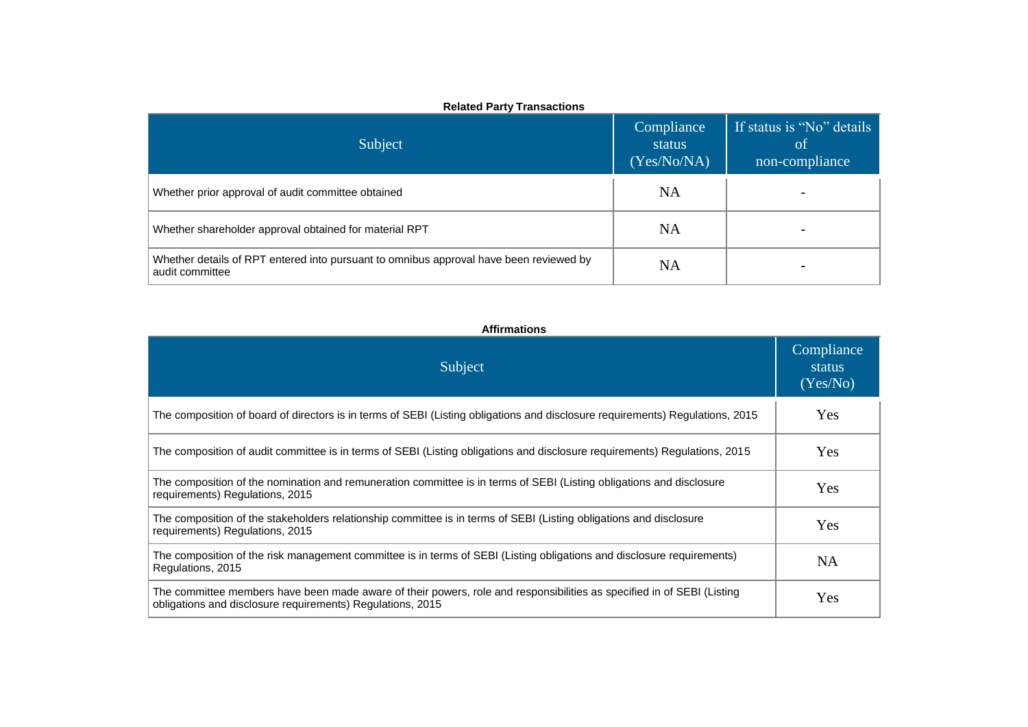| Subject                                                                                                   | Compliance<br>status<br>(Yes/No/NA) | If status is "No" details<br>-of<br>non-compliance |
|-----------------------------------------------------------------------------------------------------------|-------------------------------------|----------------------------------------------------|
| Whether prior approval of audit committee obtained                                                        | <b>NA</b>                           |                                                    |
| Whether shareholder approval obtained for material RPT                                                    | <b>NA</b>                           |                                                    |
| Whether details of RPT entered into pursuant to omnibus approval have been reviewed by<br>audit committee | NA                                  |                                                    |

#### **Affirmations**

| Subject                                                                                                                                                                              | Compliance<br>status<br>(Yes/No) |
|--------------------------------------------------------------------------------------------------------------------------------------------------------------------------------------|----------------------------------|
| The composition of board of directors is in terms of SEBI (Listing obligations and disclosure requirements) Regulations, 2015                                                        | Yes                              |
| The composition of audit committee is in terms of SEBI (Listing obligations and disclosure requirements) Regulations, 2015                                                           | Yes                              |
| The composition of the nomination and remuneration committee is in terms of SEBI (Listing obligations and disclosure<br>requirements) Regulations, 2015                              | Yes                              |
| The composition of the stakeholders relationship committee is in terms of SEBI (Listing obligations and disclosure<br>requirements) Regulations, 2015                                | Yes                              |
| The composition of the risk management committee is in terms of SEBI (Listing obligations and disclosure requirements)<br>Regulations, 2015                                          | NA                               |
| The committee members have been made aware of their powers, role and responsibilities as specified in of SEBI (Listing<br>obligations and disclosure requirements) Regulations, 2015 | Yes                              |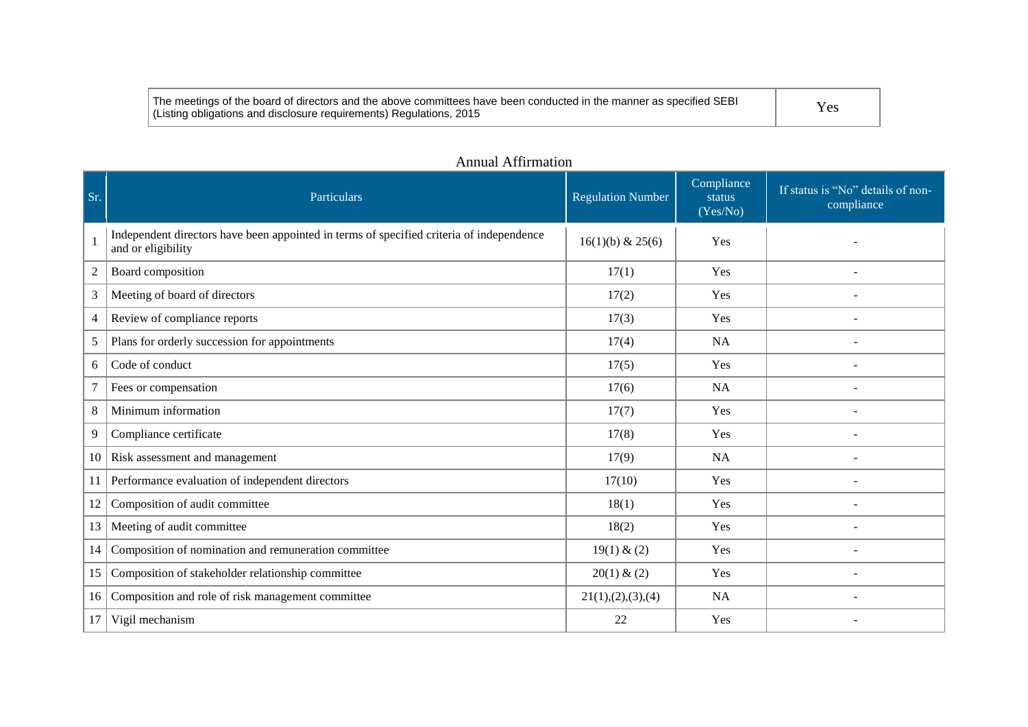| The meetings of the board of directors and the above committees have been conducted in the manner as specified SEBI | Yes |
|---------------------------------------------------------------------------------------------------------------------|-----|
| (Listing obligations and disclosure requirements) Regulations, 2015                                                 |     |

| Sr.            | Particulars                                                                                                    | <b>Regulation Number</b> | Compliance<br>status<br>(Yes/No) | If status is "No" details of non-<br>compliance |
|----------------|----------------------------------------------------------------------------------------------------------------|--------------------------|----------------------------------|-------------------------------------------------|
|                | Independent directors have been appointed in terms of specified criteria of independence<br>and or eligibility | $16(1)(b)$ & 25(6)       | <b>Yes</b>                       |                                                 |
| $\overline{c}$ | Board composition                                                                                              | 17(1)                    | Yes                              | $\blacksquare$                                  |
| 3              | Meeting of board of directors                                                                                  | 17(2)                    | Yes                              | $\overline{\phantom{a}}$                        |
| 4              | Review of compliance reports                                                                                   | 17(3)                    | Yes                              |                                                 |
| 5              | Plans for orderly succession for appointments                                                                  | 17(4)                    | <b>NA</b>                        |                                                 |
| 6              | Code of conduct                                                                                                | 17(5)                    | Yes                              |                                                 |
|                | Fees or compensation                                                                                           | 17(6)                    | <b>NA</b>                        |                                                 |
| 8              | Minimum information                                                                                            | 17(7)                    | <b>Yes</b>                       |                                                 |
| 9              | Compliance certificate                                                                                         | 17(8)                    | Yes                              |                                                 |
| 10             | Risk assessment and management                                                                                 | 17(9)                    | <b>NA</b>                        |                                                 |
| 11             | Performance evaluation of independent directors                                                                | 17(10)                   | Yes                              | $\overline{\phantom{a}}$                        |
| 12             | Composition of audit committee                                                                                 | 18(1)                    | Yes                              |                                                 |
| 13             | Meeting of audit committee                                                                                     | 18(2)                    | Yes                              |                                                 |
| 14             | Composition of nomination and remuneration committee                                                           | 19(1) & (2)              | Yes                              |                                                 |
| 15             | Composition of stakeholder relationship committee                                                              | 20(1) & (2)              | Yes                              | $\overline{\phantom{a}}$                        |
| 16             | Composition and role of risk management committee                                                              | 21(1), (2), (3), (4)     | NA                               |                                                 |
| 17             | Vigil mechanism                                                                                                | 22                       | Yes                              |                                                 |

## Annual Affirmation